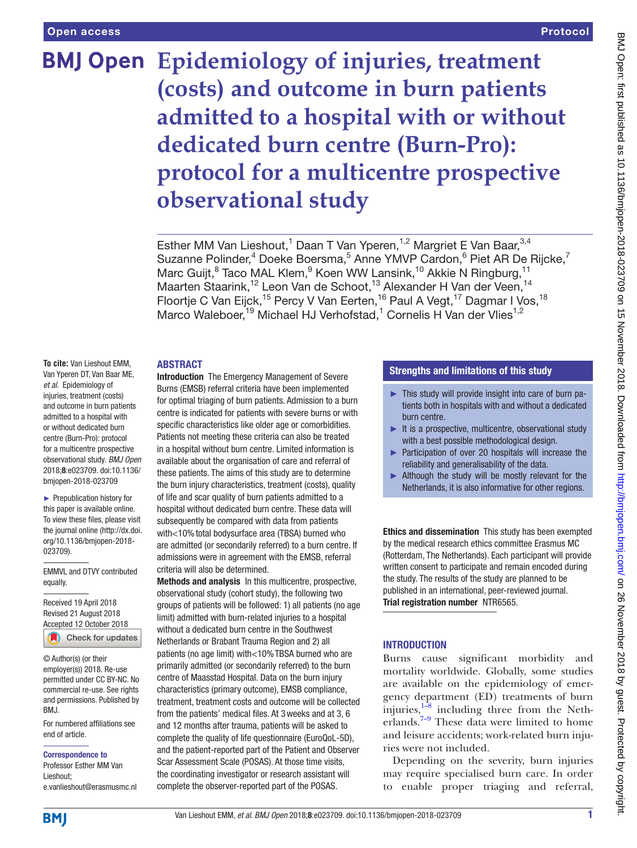# **BMJ Open** Epidemiology of injuries, treatment **(costs) and outcome in burn patients admitted to a hospital with or without dedicated burn centre (Burn-Pro): protocol for a multicentre prospective observational study**

Esther MM Van Lieshout,<sup>1</sup> Daan T Van Yperen,<sup>1,2</sup> Margriet E Van Baar,<sup>3,4</sup> Suzanne Polinder,<sup>4</sup> Doeke Boersma,<sup>5</sup> Anne YMVP Cardon,<sup>6</sup> Piet AR De Rijcke,<sup>7</sup> Marc Guijt,<sup>8</sup> Taco MAL Klem,<sup>9</sup> Koen WW Lansink,<sup>10</sup> Akkie N Ringburg,<sup>11</sup> Maarten Staarink,<sup>12</sup> Leon Van de Schoot,<sup>13</sup> Alexander H Van der Veen,<sup>14</sup> Floortje C Van Eijck,<sup>15</sup> Percy V Van Eerten,<sup>16</sup> Paul A Vegt,<sup>17</sup> Dagmar I Vos,<sup>18</sup> Marco Waleboer,<sup>19</sup> Michael HJ Verhofstad,<sup>1</sup> Cornelis H Van der Vlies<sup>1,2</sup>

## **ABSTRACT**

**To cite:** Van Lieshout EMM, Van Yperen DT, Van Baar ME, *et al*. Epidemiology of injuries, treatment (costs) and outcome in burn patients admitted to a hospital with or without dedicated burn centre (Burn-Pro): protocol for a multicentre prospective observational study. *BMJ Open* 2018;8:e023709. doi:10.1136/ bmjopen-2018-023709

► Prepublication history for this paper is available online. To view these files, please visit the journal online [\(http://dx.doi.](http://dx.doi.org/10.1136/bmjopen-2018-023709) [org/10.1136/bmjopen-2018-](http://dx.doi.org/10.1136/bmjopen-2018-023709) [023709\)](http://dx.doi.org/10.1136/bmjopen-2018-023709).

EMMVL and DTVY contributed equally.

Received 19 April 2018 Revised 21 August 2018 [Accepted 12 October 2018](http://crossmark.crossref.org/dialog/?doi=10.1136/bmjopen-2018-023709&domain=pdf&date_stamp=2018-10-15)

Check for updates

© Author(s) (or their employer(s)) 2018. Re-use permitted under CC BY-NC. No commercial re-use. See rights and permissions. Published by BMJ.

For numbered affiliations see end of article.

#### Correspondence to

Professor Esther MM Van Lieshout; e.vanlieshout@erasmusmc.nl

Introduction The Emergency Management of Severe Burns (EMSB) referral criteria have been implemented for optimal triaging of burn patients. Admission to a burn centre is indicated for patients with severe burns or with specific characteristics like older age or comorbidities. Patients not meeting these criteria can also be treated in a hospital without burn centre. Limited information is available about the organisation of care and referral of these patients. The aims of this study are to determine the burn injury characteristics, treatment (costs), quality of life and scar quality of burn patients admitted to a hospital without dedicated burn centre. These data will subsequently be compared with data from patients with<10% total bodysurface area (TBSA) burned who are admitted (or secondarily referred) to a burn centre. If admissions were in agreement with the EMSB, referral criteria will also be determined.

Methods and analysis In this multicentre, prospective, observational study (cohort study), the following two groups of patients will be followed: 1) all patients (no age limit) admitted with burn-related injuries to a hospital without a dedicated burn centre in the Southwest Netherlands or Brabant Trauma Region and 2) all patients (no age limit) with<10%TBSA burned who are primarily admitted (or secondarily referred) to the burn centre of Maasstad Hospital. Data on the burn injury characteristics (primary outcome), EMSB compliance, treatment, treatment costs and outcome will be collected from the patients' medical files. At 3weeks and at 3, 6 and 12 months after trauma, patients will be asked to complete the quality of life questionnaire (EuroQoL-5D), and the patient-reported part of the Patient and Observer Scar Assessment Scale (POSAS). At those time visits, the coordinating investigator or research assistant will complete the observer-reported part of the POSAS.

## Strengths and limitations of this study

- ► This study will provide insight into care of burn patients both in hospitals with and without a dedicated burn centre.
- ► It is a prospective, multicentre, observational study with a best possible methodological design.
- ► Participation of over 20 hospitals will increase the reliability and generalisability of the data.
- ► Although the study will be mostly relevant for the Netherlands, it is also informative for other regions.

Ethics and dissemination This study has been exempted by the medical research ethics committee Erasmus MC (Rotterdam, The Netherlands). Each participant will provide written consent to participate and remain encoded during the study. The results of the study are planned to be published in an international, peer-reviewed journal. Trial registration number NTR6565.

## **INTRODUCTION**

Burns cause significant morbidity and mortality worldwide. Globally, some studies are available on the epidemiology of emergency department (ED) treatments of burn injuries, $1-\sqrt{8}$  including three from the Netherlands.<sup>7-9</sup> These data were limited to home and leisure accidents; work-related burn injuries were not included.

Depending on the severity, burn injuries may require specialised burn care. In order to enable proper triaging and referral,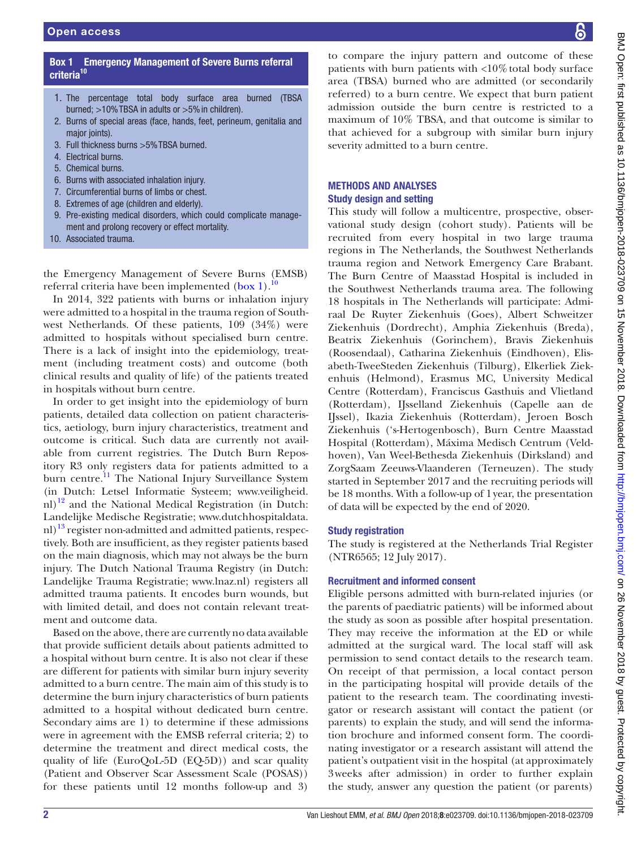# Box 1 Emergency Management of Severe Burns referral criteria<sup>[10](#page-5-2)</sup>

- <span id="page-1-0"></span>1. The percentage total body surface area burned (TBSA burned; >10%TBSA in adults or >5% in children).
- 2. Burns of special areas (face, hands, feet, perineum, genitalia and major joints).
- 3. Full thickness burns >5%TBSA burned.
- 4. Electrical burns.
- 5. Chemical burns.
- 6. Burns with associated inhalation injury.
- 7. Circumferential burns of limbs or chest.
- 8. Extremes of age (children and elderly).
- 9. Pre-existing medical disorders, which could complicate management and prolong recovery or effect mortality.
- 10. Associated trauma.

the Emergency Management of Severe Burns (EMSB) referral criteria have been implemented  $(box 1)$  $(box 1)$ .<sup>10</sup>

In 2014, 322 patients with burns or inhalation injury were admitted to a hospital in the trauma region of Southwest Netherlands. Of these patients, 109 (34%) were admitted to hospitals without specialised burn centre. There is a lack of insight into the epidemiology, treatment (including treatment costs) and outcome (both clinical results and quality of life) of the patients treated in hospitals without burn centre.

In order to get insight into the epidemiology of burn patients, detailed data collection on patient characteristics, aetiology, burn injury characteristics, treatment and outcome is critical. Such data are currently not available from current registries. The Dutch Burn Repository R3 only registers data for patients admitted to a burn centre.<sup>[11](#page-5-3)</sup> The National Injury Surveillance System (in Dutch: Letsel Informatie Systeem; [www.veiligheid.](www.veiligheid.nl) [nl](www.veiligheid.nl)) $<sup>12</sup>$  and the National Medical Registration (in Dutch:</sup> Landelijke Medische Registratie; [www.dutchhospitaldata.](www.dutchhospitaldata.nl) [nl](www.dutchhospitaldata.nl))<sup>13</sup> register non-admitted and admitted patients, respectively. Both are insufficient, as they register patients based on the main diagnosis, which may not always be the burn injury. The Dutch National Trauma Registry (in Dutch: Landelijke Trauma Registratie; <www.lnaz.nl>) registers all admitted trauma patients. It encodes burn wounds, but with limited detail, and does not contain relevant treatment and outcome data.

Based on the above, there are currently no data available that provide sufficient details about patients admitted to a hospital without burn centre. It is also not clear if these are different for patients with similar burn injury severity admitted to a burn centre. The main aim of this study is to determine the burn injury characteristics of burn patients admitted to a hospital without dedicated burn centre. Secondary aims are 1) to determine if these admissions were in agreement with the EMSB referral criteria; 2) to determine the treatment and direct medical costs, the quality of life (EuroQoL-5D (EQ-5D)) and scar quality (Patient and Observer Scar Assessment Scale (POSAS)) for these patients until 12 months follow-up and 3)

to compare the injury pattern and outcome of these patients with burn patients with  $<$ 10% total body surface area (TBSA) burned who are admitted (or secondarily referred) to a burn centre. We expect that burn patient admission outside the burn centre is restricted to a maximum of 10% TBSA, and that outcome is similar to that achieved for a subgroup with similar burn injury severity admitted to a burn centre.

## Methods and analyses Study design and setting

This study will follow a multicentre, prospective, observational study design (cohort study). Patients will be recruited from every hospital in two large trauma regions in The Netherlands, the Southwest Netherlands trauma region and Network Emergency Care Brabant. The Burn Centre of Maasstad Hospital is included in the Southwest Netherlands trauma area. The following 18 hospitals in The Netherlands will participate: Admiraal De Ruyter Ziekenhuis (Goes), Albert Schweitzer Ziekenhuis (Dordrecht), Amphia Ziekenhuis (Breda), Beatrix Ziekenhuis (Gorinchem), Bravis Ziekenhuis (Roosendaal), Catharina Ziekenhuis (Eindhoven), Elisabeth-TweeSteden Ziekenhuis (Tilburg), Elkerliek Ziekenhuis (Helmond), Erasmus MC, University Medical Centre (Rotterdam), Franciscus Gasthuis and Vlietland (Rotterdam), IJsselland Ziekenhuis (Capelle aan de IJssel), Ikazia Ziekenhuis (Rotterdam), Jeroen Bosch Ziekenhuis ('s-Hertogenbosch), Burn Centre Maasstad Hospital (Rotterdam), Máxima Medisch Centrum (Veldhoven), Van Weel-Bethesda Ziekenhuis (Dirksland) and ZorgSaam Zeeuws-Vlaanderen (Terneuzen). The study started in September 2017 and the recruiting periods will be 18 months. With a follow-up of 1year, the presentation of data will be expected by the end of 2020.

## Study registration

The study is registered at the Netherlands Trial Register (NTR6565; 12 July 2017).

## Recruitment and informed consent

Eligible persons admitted with burn-related injuries (or the parents of paediatric patients) will be informed about the study as soon as possible after hospital presentation. They may receive the information at the ED or while admitted at the surgical ward. The local staff will ask permission to send contact details to the research team. On receipt of that permission, a local contact person in the participating hospital will provide details of the patient to the research team. The coordinating investigator or research assistant will contact the patient (or parents) to explain the study, and will send the information brochure and informed consent form. The coordinating investigator or a research assistant will attend the patient's outpatient visit in the hospital (at approximately 3weeks after admission) in order to further explain the study, answer any question the patient (or parents)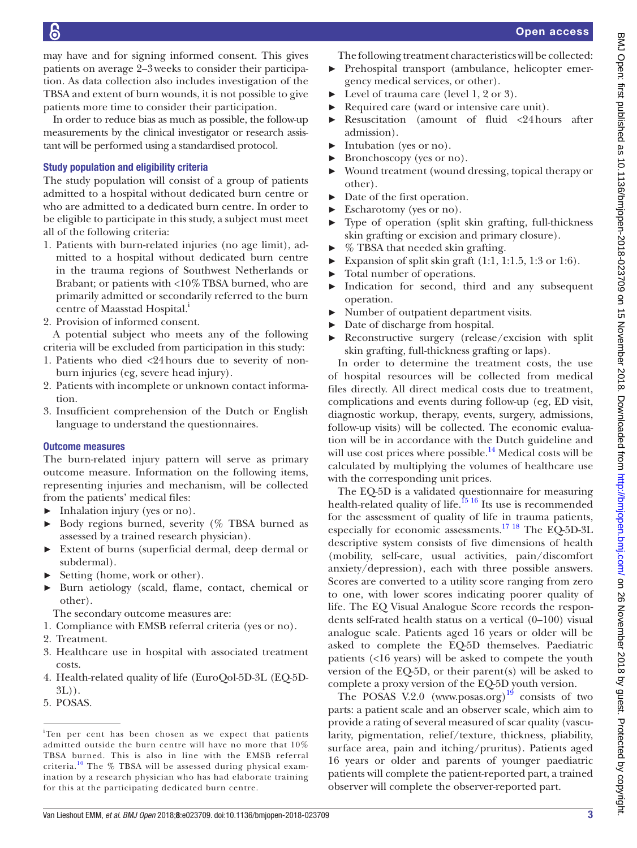may have and for signing informed consent. This gives patients on average 2–3weeks to consider their participation. As data collection also includes investigation of the TBSA and extent of burn wounds, it is not possible to give patients more time to consider their participation.

In order to reduce bias as much as possible, the follow-up measurements by the clinical investigator or research assistant will be performed using a standardised protocol.

## Study population and eligibility criteria

The study population will consist of a group of patients admitted to a hospital without dedicated burn centre or who are admitted to a dedicated burn centre. In order to be eligible to participate in this study, a subject must meet all of the following criteria:

- 1. Patients with burn-related injuries (no age limit), admitted to a hospital without dedicated burn centre in the trauma regions of Southwest Netherlands or Brabant; or patients with <10%TBSA burned, who are primarily admitted or secondarily referred to the burn centre of Maasstad Hospital.<sup>i</sup>
- 2. Provision of informed consent.

A potential subject who meets any of the following criteria will be excluded from participation in this study:

- 1. Patients who died <24hours due to severity of nonburn injuries (eg, severe head injury).
- 2. Patients with incomplete or unknown contact information.
- 3. Insufficient comprehension of the Dutch or English language to understand the questionnaires.

## Outcome measures

The burn-related injury pattern will serve as primary outcome measure. Information on the following items, representing injuries and mechanism, will be collected from the patients' medical files:

- ► Inhalation injury (yes or no).
- Body regions burned, severity (% TBSA burned as assessed by a trained research physician).
- ► Extent of burns (superficial dermal, deep dermal or subdermal).
- Setting (home, work or other).
- ► Burn aetiology (scald, flame, contact, chemical or other).

The secondary outcome measures are:

- 1. Compliance with EMSB referral criteria (yes or no).
- 2. Treatment.
- 3. Healthcare use in hospital with associated treatment costs.
- 4. Health-related quality of life (EuroQol-5D-3L (EQ-5D-3L)).
- 5. POSAS.

<sup>i</sup>Ten per cent has been chosen as we expect that patients

The following treatment characteristics will be collected:

- ► Prehospital transport (ambulance, helicopter emergency medical services, or other).
- ► Level of trauma care (level 1, 2 or 3).
- ► Required care (ward or intensive care unit).
- ► Resuscitation (amount of fluid <24hours after admission).
- ► Intubation (yes or no).
- Bronchoscopy (yes or no).
- Wound treatment (wound dressing, topical therapy or other).
- Date of the first operation.
- ► Escharotomy (yes or no).
- ► Type of operation (split skin grafting, full-thickness skin grafting or excision and primary closure).
- ► % TBSA that needed skin grafting.
- Expansion of split skin graft  $(1:1, 1:1.5, 1:3 \text{ or } 1:6)$ .
- ► Total number of operations. Indication for second, third and any subsequent
- operation. ► Number of outpatient department visits.
- ► Date of discharge from hospital.
- Reconstructive surgery (release/excision with split skin grafting, full-thickness grafting or laps).

In order to determine the treatment costs, the use of hospital resources will be collected from medical files directly. All direct medical costs due to treatment, complications and events during follow-up (eg, ED visit, diagnostic workup, therapy, events, surgery, admissions, follow-up visits) will be collected. The economic evaluation will be in accordance with the Dutch guideline and will use cost prices where possible. $^{14}$  $^{14}$  $^{14}$  Medical costs will be calculated by multiplying the volumes of healthcare use with the corresponding unit prices.

The EQ-5D is a validated questionnaire for measuring health-related quality of life.<sup>[15 16](#page-5-7)</sup> Its use is recommended for the assessment of quality of life in trauma patients, especially for economic assessments.[17 18](#page-5-8) The EQ-5D-3L descriptive system consists of five dimensions of health (mobility, self-care, usual activities, pain/discomfort anxiety/depression), each with three possible answers. Scores are converted to a utility score ranging from zero to one, with lower scores indicating poorer quality of life. The EQ Visual Analogue Score records the respondents self-rated health status on a vertical (0–100) visual analogue scale. Patients aged 16 years or older will be asked to complete the EQ-5D themselves. Paediatric patients (<16 years) will be asked to compete the youth version of the EQ-5D, or their parent(s) will be asked to complete a proxy version of the EQ-5D youth version.

The POSAS V.2.0 [\(www.posas.org](www.posas.org))<sup>19</sup> consists of two parts: a patient scale and an observer scale, which aim to provide a rating of several measured of scar quality (vascularity, pigmentation, relief/texture, thickness, pliability, surface area, pain and itching/pruritus). Patients aged 16 years or older and parents of younger paediatric patients will complete the patient-reported part, a trained observer will complete the observer-reported part.

admitted outside the burn centre will have no more that 10% TBSA burned. This is also in line with the EMSB referral criteria.<sup>[10](#page-5-2)</sup> The % TBSA will be assessed during physical examination by a research physician who has had elaborate training for this at the participating dedicated burn centre.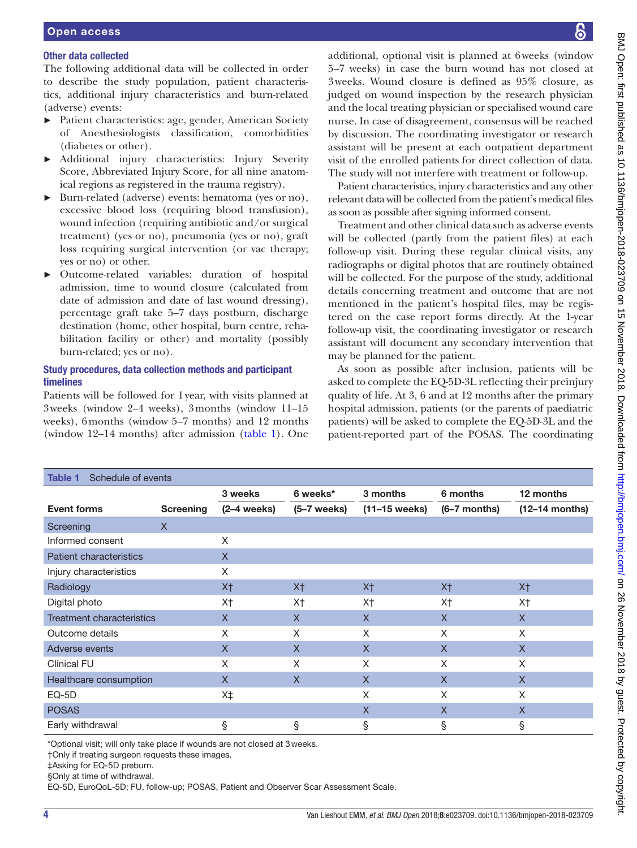## Other data collected

The following additional data will be collected in order to describe the study population, patient characteristics, additional injury characteristics and burn-related (adverse) events:

- ► Patient characteristics: age, gender, American Society of Anesthesiologists classification, comorbidities (diabetes or other).
- ► Additional injury characteristics: Injury Severity Score, Abbreviated Injury Score, for all nine anatomical regions as registered in the trauma registry).
- ► Burn-related (adverse) events: hematoma (yes or no), excessive blood loss (requiring blood transfusion), wound infection (requiring antibiotic and/or surgical treatment) (yes or no), pneumonia (yes or no), graft loss requiring surgical intervention (or vac therapy; yes or no) or other.
- ► Outcome-related variables: duration of hospital admission, time to wound closure (calculated from date of admission and date of last wound dressing), percentage graft take 5–7 days postburn, discharge destination (home, other hospital, burn centre, rehabilitation facility or other) and mortality (possibly burn-related; yes or no).

# Study procedures, data collection methods and participant timelines

Patients will be followed for 1year, with visits planned at 3weeks (window 2–4 weeks), 3months (window 11–15 weeks), 6months (window 5–7 months) and 12 months (window 12–14 months) after admission [\(table](#page-3-0) 1). One

additional, optional visit is planned at 6weeks (window 5–7 weeks) in case the burn wound has not closed at 3weeks. Wound closure is defined as 95% closure, as judged on wound inspection by the research physician and the local treating physician or specialised wound care nurse. In case of disagreement, consensus will be reached by discussion. The coordinating investigator or research assistant will be present at each outpatient department visit of the enrolled patients for direct collection of data. The study will not interfere with treatment or follow-up.

Patient characteristics, injury characteristics and any other relevant data will be collected from the patient's medical files as soon as possible after signing informed consent.

Treatment and other clinical data such as adverse events will be collected (partly from the patient files) at each follow-up visit. During these regular clinical visits, any radiographs or digital photos that are routinely obtained will be collected. For the purpose of the study, additional details concerning treatment and outcome that are not mentioned in the patient's hospital files, may be registered on the case report forms directly. At the 1-year follow-up visit, the coordinating investigator or research assistant will document any secondary intervention that may be planned for the patient.

As soon as possible after inclusion, patients will be asked to complete the EQ-5D-3L reflecting their preinjury quality of life. At 3, 6 and at 12 months after the primary hospital admission, patients (or the parents of paediatric patients) will be asked to complete the EQ-5D-3L and the patient-reported part of the POSAS. The coordinating

<span id="page-3-0"></span>

| Schedule of events<br><b>Table 1</b> |           |                |                |                |                |                  |
|--------------------------------------|-----------|----------------|----------------|----------------|----------------|------------------|
|                                      |           | 3 weeks        | 6 weeks*       | 3 months       | 6 months       | 12 months        |
| <b>Event forms</b>                   | Screening | $(2-4$ weeks)  | $(5-7$ weeks)  | (11–15 weeks)  | $(6-7$ months) | $(12-14$ months) |
| Screening                            | X         |                |                |                |                |                  |
| Informed consent                     |           | X              |                |                |                |                  |
| <b>Patient characteristics</b>       |           | $\mathsf{X}$   |                |                |                |                  |
| Injury characteristics               |           | X              |                |                |                |                  |
| Radiology                            |           | X <sub>†</sub> | X <sub>†</sub> | X <sub>†</sub> | X <sub>†</sub> | X <sub>†</sub>   |
| Digital photo                        |           | X†             | X†             | X†             | X†             | X†               |
| <b>Treatment characteristics</b>     |           | $\mathsf{X}$   | X              | $\mathsf{X}$   | $\mathsf{X}$   | $\mathsf{X}$     |
| Outcome details                      |           | X              | X              | X              | X              | X                |
| Adverse events                       |           | $\mathsf{X}$   | $\mathsf{X}$   | $\mathsf{X}$   | $\mathsf{X}$   | $\mathsf{X}$     |
| <b>Clinical FU</b>                   |           | X              | X              | X              | X              | X                |
| Healthcare consumption               |           | X              | X              | $\mathsf{X}$   | $\times$       | $\mathsf{X}$     |
| $EQ-5D$                              |           | X <sup>‡</sup> |                | X              | X              | X                |
| <b>POSAS</b>                         |           |                |                | $\mathsf{X}$   | $\mathsf{X}$   | $\mathsf{X}$     |
| Early withdrawal                     |           | Ş              | §              | Ş              | §              | ş                |

\*Optional visit; will only take place if wounds are not closed at 3weeks.

†Only if treating surgeon requests these images.

‡Asking for EQ-5D preburn.

§Only at time of withdrawal.

EQ-5D, EuroQoL-5D; FU, follow-up; POSAS, Patient and Observer Scar Assessment Scale.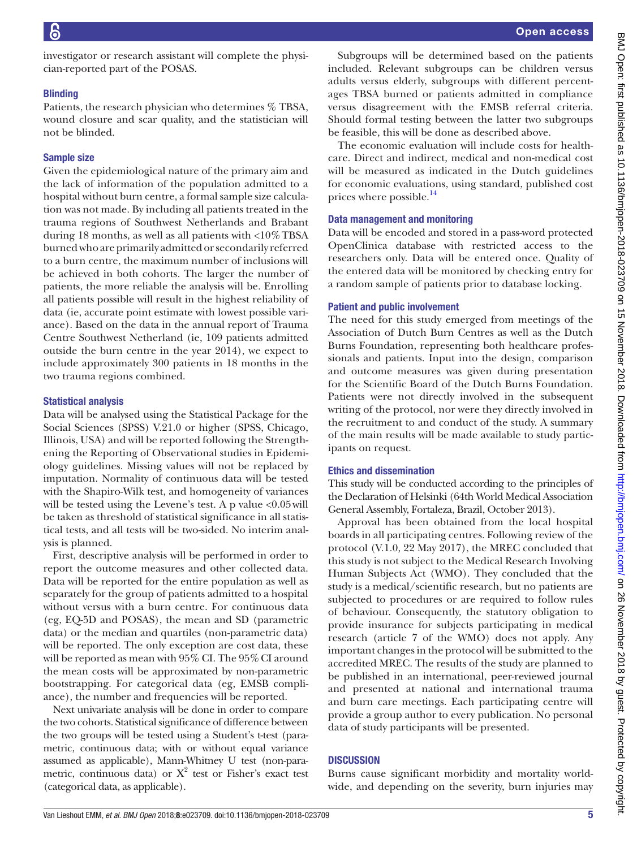investigator or research assistant will complete the physician-reported part of the POSAS.

## **Blinding**

Patients, the research physician who determines % TBSA, wound closure and scar quality, and the statistician will not be blinded.

## Sample size

Given the epidemiological nature of the primary aim and the lack of information of the population admitted to a hospital without burn centre, a formal sample size calculation was not made. By including all patients treated in the trauma regions of Southwest Netherlands and Brabant during 18 months, as well as all patients with <10%TBSA burned who are primarily admitted or secondarily referred to a burn centre, the maximum number of inclusions will be achieved in both cohorts. The larger the number of patients, the more reliable the analysis will be. Enrolling all patients possible will result in the highest reliability of data (ie, accurate point estimate with lowest possible variance). Based on the data in the annual report of Trauma Centre Southwest Netherland (ie, 109 patients admitted outside the burn centre in the year 2014), we expect to include approximately 300 patients in 18 months in the two trauma regions combined.

## Statistical analysis

Data will be analysed using the Statistical Package for the Social Sciences (SPSS) V.21.0 or higher (SPSS, Chicago, Illinois, USA) and will be reported following the Strengthening the Reporting of Observational studies in Epidemiology guidelines. Missing values will not be replaced by imputation. Normality of continuous data will be tested with the Shapiro-Wilk test, and homogeneity of variances will be tested using the Levene's test. A p value  $\langle 0.05 \text{ will} \rangle$ be taken as threshold of statistical significance in all statistical tests, and all tests will be two-sided. No interim analysis is planned.

First, descriptive analysis will be performed in order to report the outcome measures and other collected data. Data will be reported for the entire population as well as separately for the group of patients admitted to a hospital without versus with a burn centre. For continuous data (eg, EQ-5D and POSAS), the mean and SD (parametric data) or the median and quartiles (non-parametric data) will be reported. The only exception are cost data, these will be reported as mean with  $95\%$  CI. The  $95\%$  CI around the mean costs will be approximated by non-parametric bootstrapping. For categorical data (eg, EMSB compliance), the number and frequencies will be reported.

Next univariate analysis will be done in order to compare the two cohorts. Statistical significance of difference between the two groups will be tested using a Student's t-test (parametric, continuous data; with or without equal variance assumed as applicable), Mann-Whitney U test (non-parametric, continuous data) or  $X^2$  test or Fisher's exact test (categorical data, as applicable).

Subgroups will be determined based on the patients included. Relevant subgroups can be children versus adults versus elderly, subgroups with different percentages TBSA burned or patients admitted in compliance versus disagreement with the EMSB referral criteria. Should formal testing between the latter two subgroups be feasible, this will be done as described above.

The economic evaluation will include costs for healthcare. Direct and indirect, medical and non-medical cost will be measured as indicated in the Dutch guidelines for economic evaluations, using standard, published cost prices where possible.<sup>[14](#page-5-6)</sup>

## Data management and monitoring

Data will be encoded and stored in a pass-word protected OpenClinica database with restricted access to the researchers only. Data will be entered once. Quality of the entered data will be monitored by checking entry for a random sample of patients prior to database locking.

## Patient and public involvement

The need for this study emerged from meetings of the Association of Dutch Burn Centres as well as the Dutch Burns Foundation, representing both healthcare professionals and patients. Input into the design, comparison and outcome measures was given during presentation for the Scientific Board of the Dutch Burns Foundation. Patients were not directly involved in the subsequent writing of the protocol, nor were they directly involved in the recruitment to and conduct of the study. A summary of the main results will be made available to study participants on request.

## Ethics and dissemination

This study will be conducted according to the principles of the Declaration of Helsinki (64th World Medical Association General Assembly, Fortaleza, Brazil, October 2013).

Approval has been obtained from the local hospital boards in all participating centres. Following review of the protocol (V.1.0, 22 May 2017), the MREC concluded that this study is not subject to the Medical Research Involving Human Subjects Act (WMO). They concluded that the study is a medical/scientific research, but no patients are subjected to procedures or are required to follow rules of behaviour. Consequently, the statutory obligation to provide insurance for subjects participating in medical research (article 7 of the WMO) does not apply. Any important changes in the protocol will be submitted to the accredited MREC. The results of the study are planned to be published in an international, peer-reviewed journal and presented at national and international trauma and burn care meetings. Each participating centre will provide a group author to every publication. No personal data of study participants will be presented.

# **DISCUSSION**

Burns cause significant morbidity and mortality worldwide, and depending on the severity, burn injuries may